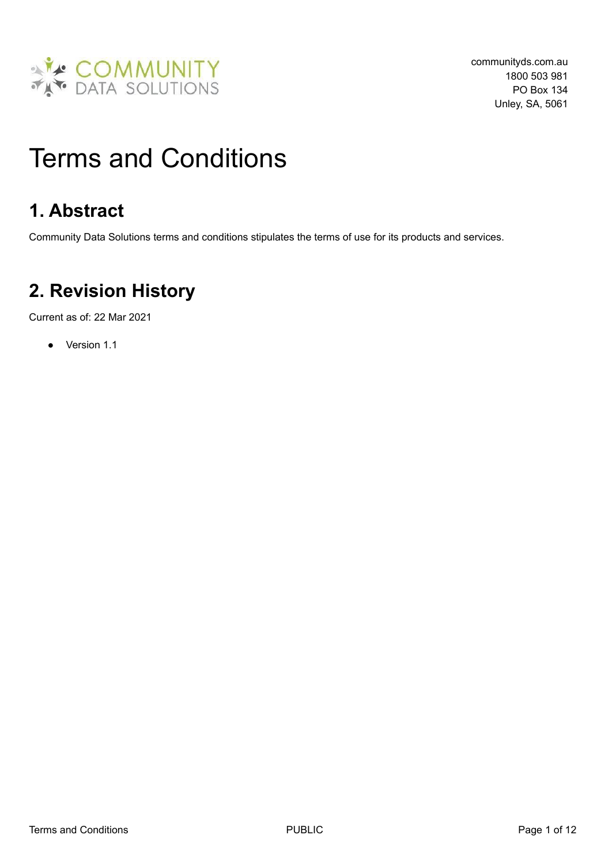

# Terms and Conditions

# **1. Abstract**

Community Data Solutions terms and conditions stipulates the terms of use for its products and services.

# **2. Revision History**

Current as of: 22 Mar 2021

● Version 1.1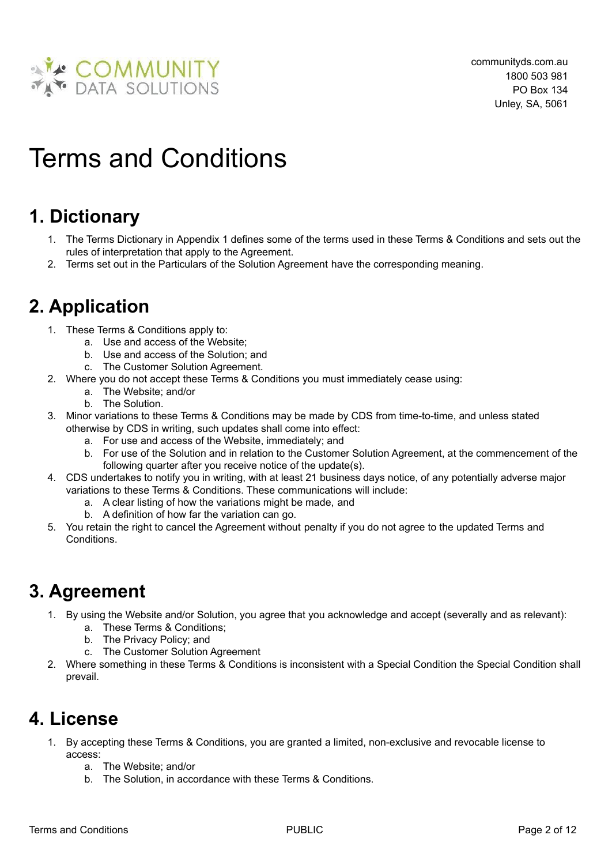

# Terms and Conditions

# **1. Dictionary**

- 1. The Terms Dictionary in [Appendix](#page-10-0) 1 defines some of the terms used in these Terms & Conditions and sets out the rules of interpretation that apply to the Agreement.
- 2. Terms set out in the Particulars of the Solution Agreement have the corresponding meaning.

# **2. Application**

- 1. These Terms & Conditions apply to:
	- a. Use and access of the Website;
	- b. Use and access of the Solution; and
	- c. The Customer Solution Agreement.
- 2. Where you do not accept these Terms & Conditions you must immediately cease using:
	- a. The Website; and/or
	- b. The Solution.
- 3. Minor variations to these Terms & Conditions may be made by CDS from time-to-time, and unless stated otherwise by CDS in writing, such updates shall come into effect:
	- a. For use and access of the Website, immediately; and
	- b. For use of the Solution and in relation to the Customer Solution Agreement, at the commencement of the following quarter after you receive notice of the update(s).
- 4. CDS undertakes to notify you in writing, with at least 21 business days notice, of any potentially adverse major variations to these Terms & Conditions. These communications will include:
	- a. A clear listing of how the variations might be made, and
	- b. A definition of how far the variation can go.
- 5. You retain the right to cancel the Agreement without penalty if you do not agree to the updated Terms and Conditions.

# **3. Agreement**

- 1. By using the Website and/or Solution, you agree that you acknowledge and accept (severally and as relevant):
	- a. These Terms & Conditions;
	- b. The Privacy Policy; and
	- c. The Customer Solution Agreement
- 2. Where something in these Terms & Conditions is inconsistent with a Special Condition the Special Condition shall prevail.

#### **4. License**

- 1. By accepting these Terms & Conditions, you are granted a limited, non-exclusive and revocable license to access:
	- a. The Website; and/or
	- b. The Solution, in accordance with these Terms & Conditions.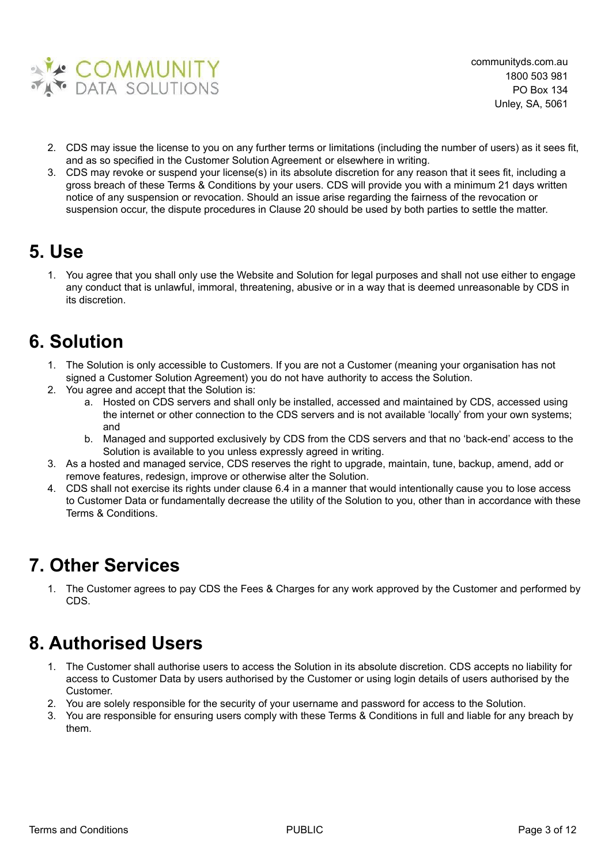

- 2. CDS may issue the license to you on any further terms or limitations (including the number of users) as it sees fit, and as so specified in the Customer Solution Agreement or elsewhere in writing.
- 3. CDS may revoke or suspend your license(s) in its absolute discretion for any reason that it sees fit, including a gross breach of these Terms & Conditions by your users. CDS will provide you with a minimum 21 days written notice of any suspension or revocation. Should an issue arise regarding the fairness of the revocation or suspension occur, the dispute procedures in Clause 20 should be used by both parties to settle the matter.

#### **5. Use**

1. You agree that you shall only use the Website and Solution for legal purposes and shall not use either to engage any conduct that is unlawful, immoral, threatening, abusive or in a way that is deemed unreasonable by CDS in its discretion.

# **6. Solution**

- 1. The Solution is only accessible to Customers. If you are not a Customer (meaning your organisation has not signed a Customer Solution Agreement) you do not have authority to access the Solution.
- 2. You agree and accept that the Solution is:
	- a. Hosted on CDS servers and shall only be installed, accessed and maintained by CDS, accessed using the internet or other connection to the CDS servers and is not available 'locally' from your own systems; and
	- b. Managed and supported exclusively by CDS from the CDS servers and that no 'back-end' access to the Solution is available to you unless expressly agreed in writing.
- 3. As a hosted and managed service, CDS reserves the right to upgrade, maintain, tune, backup, amend, add or remove features, redesign, improve or otherwise alter the Solution.
- 4. CDS shall not exercise its rights under clause 6.4 in a manner that would intentionally cause you to lose access to Customer Data or fundamentally decrease the utility of the Solution to you, other than in accordance with these Terms & Conditions.

#### **7. Other Services**

1. The Customer agrees to pay CDS the Fees & Charges for any work approved by the Customer and performed by CDS.

# **8. Authorised Users**

- 1. The Customer shall authorise users to access the Solution in its absolute discretion. CDS accepts no liability for access to Customer Data by users authorised by the Customer or using login details of users authorised by the Customer.
- 2. You are solely responsible for the security of your username and password for access to the Solution.
- 3. You are responsible for ensuring users comply with these Terms & Conditions in full and liable for any breach by them.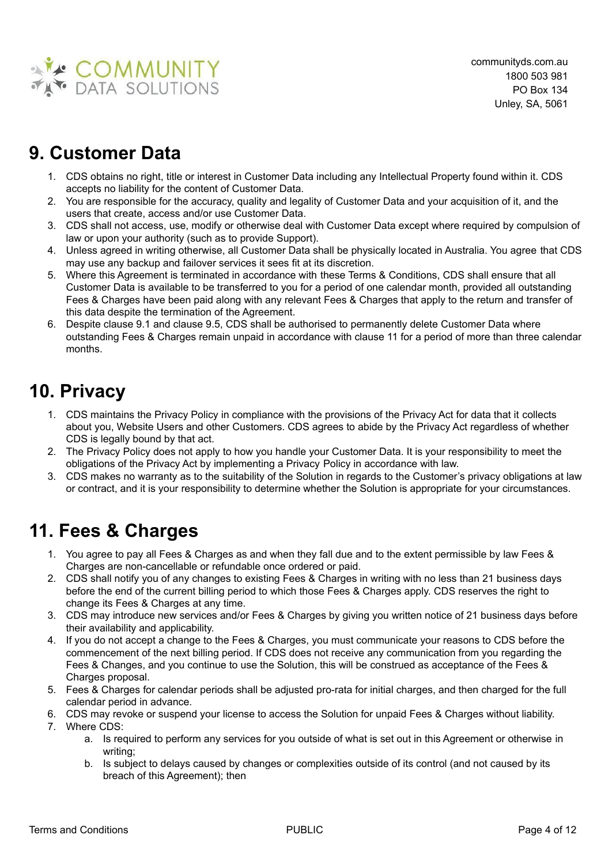

# **9. Customer Data**

- 1. CDS obtains no right, title or interest in Customer Data including any Intellectual Property found within it. CDS accepts no liability for the content of Customer Data.
- 2. You are responsible for the accuracy, quality and legality of Customer Data and your acquisition of it, and the users that create, access and/or use Customer Data.
- 3. CDS shall not access, use, modify or otherwise deal with Customer Data except where required by compulsion of law or upon your authority (such as to provide Support).
- 4. Unless agreed in writing otherwise, all Customer Data shall be physically located in Australia. You agree that CDS may use any backup and failover services it sees fit at its discretion.
- 5. Where this Agreement is terminated in accordance with these Terms & Conditions, CDS shall ensure that all Customer Data is available to be transferred to you for a period of one calendar month, provided all outstanding Fees & Charges have been paid along with any relevant Fees & Charges that apply to the return and transfer of this data despite the termination of the Agreement.
- 6. Despite clause 9.1 and clause 9.5, CDS shall be authorised to permanently delete Customer Data where outstanding Fees & Charges remain unpaid in accordance with clause 11 for a period of more than three calendar months.

# **10. Privacy**

- 1. CDS maintains the Privacy Policy in compliance with the provisions of the Privacy Act for data that it collects about you, Website Users and other Customers. CDS agrees to abide by the Privacy Act regardless of whether CDS is legally bound by that act.
- 2. The Privacy Policy does not apply to how you handle your Customer Data. It is your responsibility to meet the obligations of the Privacy Act by implementing a Privacy Policy in accordance with law.
- 3. CDS makes no warranty as to the suitability of the Solution in regards to the Customer's privacy obligations at law or contract, and it is your responsibility to determine whether the Solution is appropriate for your circumstances.

# **11. Fees & Charges**

- 1. You agree to pay all Fees & Charges as and when they fall due and to the extent permissible by law Fees & Charges are non-cancellable or refundable once ordered or paid.
- 2. CDS shall notify you of any changes to existing Fees & Charges in writing with no less than 21 business days before the end of the current billing period to which those Fees & Charges apply. CDS reserves the right to change its Fees & Charges at any time.
- 3. CDS may introduce new services and/or Fees & Charges by giving you written notice of 21 business days before their availability and applicability.
- 4. If you do not accept a change to the Fees & Charges, you must communicate your reasons to CDS before the commencement of the next billing period. If CDS does not receive any communication from you regarding the Fees & Changes, and you continue to use the Solution, this will be construed as acceptance of the Fees & Charges proposal.
- 5. Fees & Charges for calendar periods shall be adjusted pro-rata for initial charges, and then charged for the full calendar period in advance.
- 6. CDS may revoke or suspend your license to access the Solution for unpaid Fees & Charges without liability.
- 7. Where CDS:
	- a. Is required to perform any services for you outside of what is set out in this Agreement or otherwise in writing;
	- b. Is subject to delays caused by changes or complexities outside of its control (and not caused by its breach of this Agreement); then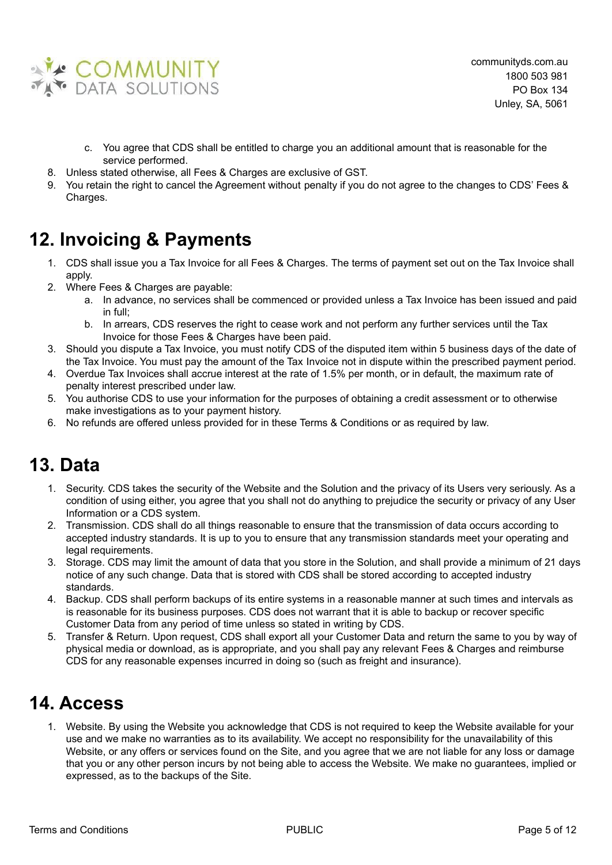

- c. You agree that CDS shall be entitled to charge you an additional amount that is reasonable for the service performed.
- 8. Unless stated otherwise, all Fees & Charges are exclusive of GST.
- 9. You retain the right to cancel the Agreement without penalty if you do not agree to the changes to CDS' Fees & Charges.

# **12. Invoicing & Payments**

- 1. CDS shall issue you a Tax Invoice for all Fees & Charges. The terms of payment set out on the Tax Invoice shall apply.
- 2. Where Fees & Charges are payable:
	- a. In advance, no services shall be commenced or provided unless a Tax Invoice has been issued and paid in full;
	- b. In arrears, CDS reserves the right to cease work and not perform any further services until the Tax Invoice for those Fees & Charges have been paid.
- 3. Should you dispute a Tax Invoice, you must notify CDS of the disputed item within 5 business days of the date of the Tax Invoice. You must pay the amount of the Tax Invoice not in dispute within the prescribed payment period.
- 4. Overdue Tax Invoices shall accrue interest at the rate of 1.5% per month, or in default, the maximum rate of penalty interest prescribed under law.
- 5. You authorise CDS to use your information for the purposes of obtaining a credit assessment or to otherwise make investigations as to your payment history.
- 6. No refunds are offered unless provided for in these Terms & Conditions or as required by law.

#### **13. Data**

- 1. Security. CDS takes the security of the Website and the Solution and the privacy of its Users very seriously. As a condition of using either, you agree that you shall not do anything to prejudice the security or privacy of any User Information or a CDS system.
- 2. Transmission. CDS shall do all things reasonable to ensure that the transmission of data occurs according to accepted industry standards. It is up to you to ensure that any transmission standards meet your operating and legal requirements.
- 3. Storage. CDS may limit the amount of data that you store in the Solution, and shall provide a minimum of 21 days notice of any such change. Data that is stored with CDS shall be stored according to accepted industry standards.
- 4. Backup. CDS shall perform backups of its entire systems in a reasonable manner at such times and intervals as is reasonable for its business purposes. CDS does not warrant that it is able to backup or recover specific Customer Data from any period of time unless so stated in writing by CDS.
- 5. Transfer & Return. Upon request, CDS shall export all your Customer Data and return the same to you by way of physical media or download, as is appropriate, and you shall pay any relevant Fees & Charges and reimburse CDS for any reasonable expenses incurred in doing so (such as freight and insurance).

# **14. Access**

1. Website. By using the Website you acknowledge that CDS is not required to keep the Website available for your use and we make no warranties as to its availability. We accept no responsibility for the unavailability of this Website, or any offers or services found on the Site, and you agree that we are not liable for any loss or damage that you or any other person incurs by not being able to access the Website. We make no guarantees, implied or expressed, as to the backups of the Site.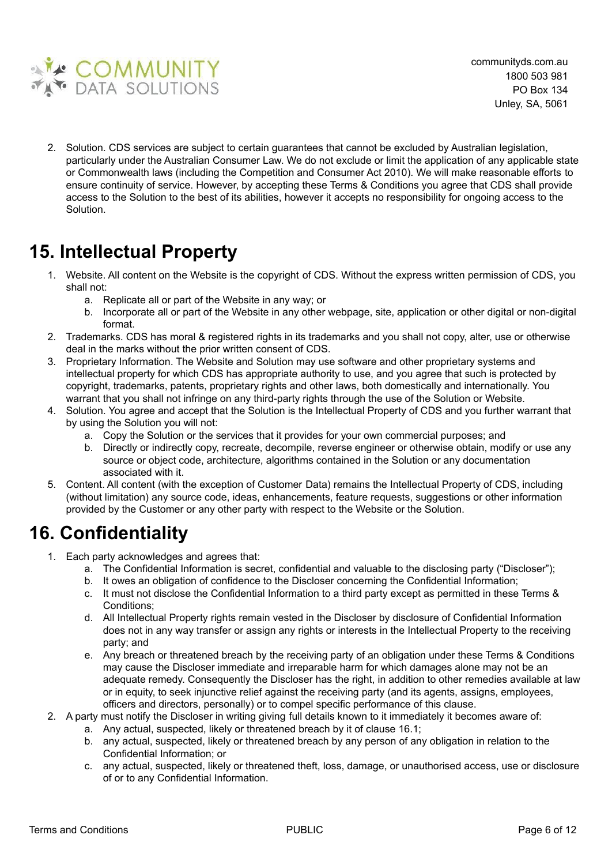

2. Solution. CDS services are subject to certain guarantees that cannot be excluded by Australian legislation, particularly under the Australian Consumer Law. We do not exclude or limit the application of any applicable state or Commonwealth laws (including the Competition and Consumer Act 2010). We will make reasonable efforts to ensure continuity of service. However, by accepting these Terms & Conditions you agree that CDS shall provide access to the Solution to the best of its abilities, however it accepts no responsibility for ongoing access to the Solution.

# **15. Intellectual Property**

- 1. Website. All content on the Website is the copyright of CDS. Without the express written permission of CDS, you shall not:
	- a. Replicate all or part of the Website in any way; or
	- b. Incorporate all or part of the Website in any other webpage, site, application or other digital or non-digital format.
- 2. Trademarks. CDS has moral & registered rights in its trademarks and you shall not copy, alter, use or otherwise deal in the marks without the prior written consent of CDS.
- 3. Proprietary Information. The Website and Solution may use software and other proprietary systems and intellectual property for which CDS has appropriate authority to use, and you agree that such is protected by copyright, trademarks, patents, proprietary rights and other laws, both domestically and internationally. You warrant that you shall not infringe on any third-party rights through the use of the Solution or Website.
- 4. Solution. You agree and accept that the Solution is the Intellectual Property of CDS and you further warrant that by using the Solution you will not:
	- a. Copy the Solution or the services that it provides for your own commercial purposes; and
	- b. Directly or indirectly copy, recreate, decompile, reverse engineer or otherwise obtain, modify or use any source or object code, architecture, algorithms contained in the Solution or any documentation associated with it.
- 5. Content. All content (with the exception of Customer Data) remains the Intellectual Property of CDS, including (without limitation) any source code, ideas, enhancements, feature requests, suggestions or other information provided by the Customer or any other party with respect to the Website or the Solution.

#### **16. Confidentiality**

- 1. Each party acknowledges and agrees that:
	- a. The Confidential Information is secret, confidential and valuable to the disclosing party ("Discloser");
	- b. It owes an obligation of confidence to the Discloser concerning the Confidential Information;
	- c. It must not disclose the Confidential Information to a third party except as permitted in these Terms & Conditions;
	- d. All Intellectual Property rights remain vested in the Discloser by disclosure of Confidential Information does not in any way transfer or assign any rights or interests in the Intellectual Property to the receiving party; and
	- e. Any breach or threatened breach by the receiving party of an obligation under these Terms & Conditions may cause the Discloser immediate and irreparable harm for which damages alone may not be an adequate remedy. Consequently the Discloser has the right, in addition to other remedies available at law or in equity, to seek injunctive relief against the receiving party (and its agents, assigns, employees, officers and directors, personally) or to compel specific performance of this clause.
- 2. A party must notify the Discloser in writing giving full details known to it immediately it becomes aware of:
	- a. Any actual, suspected, likely or threatened breach by it of clause 16.1;
	- b. any actual, suspected, likely or threatened breach by any person of any obligation in relation to the Confidential Information; or
	- c. any actual, suspected, likely or threatened theft, loss, damage, or unauthorised access, use or disclosure of or to any Confidential Information.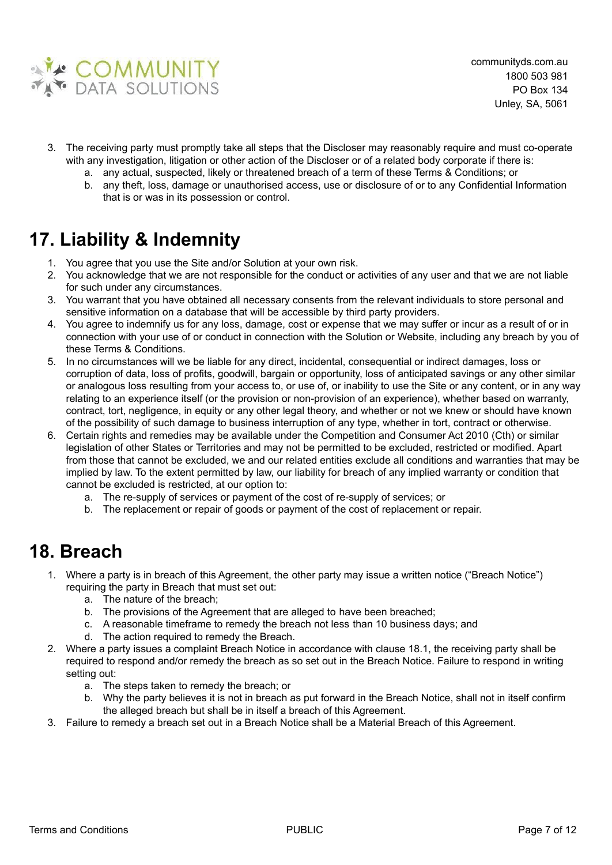

- 3. The receiving party must promptly take all steps that the Discloser may reasonably require and must co-operate with any investigation, litigation or other action of the Discloser or of a related body corporate if there is:
	- a. any actual, suspected, likely or threatened breach of a term of these Terms & Conditions; or
	- b. any theft, loss, damage or unauthorised access, use or disclosure of or to any Confidential Information that is or was in its possession or control.

# **17. Liability & Indemnity**

- 1. You agree that you use the Site and/or Solution at your own risk.
- 2. You acknowledge that we are not responsible for the conduct or activities of any user and that we are not liable for such under any circumstances.
- 3. You warrant that you have obtained all necessary consents from the relevant individuals to store personal and sensitive information on a database that will be accessible by third party providers.
- 4. You agree to indemnify us for any loss, damage, cost or expense that we may suffer or incur as a result of or in connection with your use of or conduct in connection with the Solution or Website, including any breach by you of these Terms & Conditions.
- 5. In no circumstances will we be liable for any direct, incidental, consequential or indirect damages, loss or corruption of data, loss of profits, goodwill, bargain or opportunity, loss of anticipated savings or any other similar or analogous loss resulting from your access to, or use of, or inability to use the Site or any content, or in any way relating to an experience itself (or the provision or non-provision of an experience), whether based on warranty, contract, tort, negligence, in equity or any other legal theory, and whether or not we knew or should have known of the possibility of such damage to business interruption of any type, whether in tort, contract or otherwise.
- 6. Certain rights and remedies may be available under the Competition and Consumer Act 2010 (Cth) or similar legislation of other States or Territories and may not be permitted to be excluded, restricted or modified. Apart from those that cannot be excluded, we and our related entities exclude all conditions and warranties that may be implied by law. To the extent permitted by law, our liability for breach of any implied warranty or condition that cannot be excluded is restricted, at our option to:
	- a. The re-supply of services or payment of the cost of re-supply of services; or
	- b. The replacement or repair of goods or payment of the cost of replacement or repair.

#### **18. Breach**

- 1. Where a party is in breach of this Agreement, the other party may issue a written notice ("Breach Notice") requiring the party in Breach that must set out:
	- a. The nature of the breach;
	- b. The provisions of the Agreement that are alleged to have been breached;
	- c. A reasonable timeframe to remedy the breach not less than 10 business days; and
	- d. The action required to remedy the Breach.
- 2. Where a party issues a complaint Breach Notice in accordance with clause 18.1, the receiving party shall be required to respond and/or remedy the breach as so set out in the Breach Notice. Failure to respond in writing setting out:
	- a. The steps taken to remedy the breach; or
	- b. Why the party believes it is not in breach as put forward in the Breach Notice, shall not in itself confirm the alleged breach but shall be in itself a breach of this Agreement.
- 3. Failure to remedy a breach set out in a Breach Notice shall be a Material Breach of this Agreement.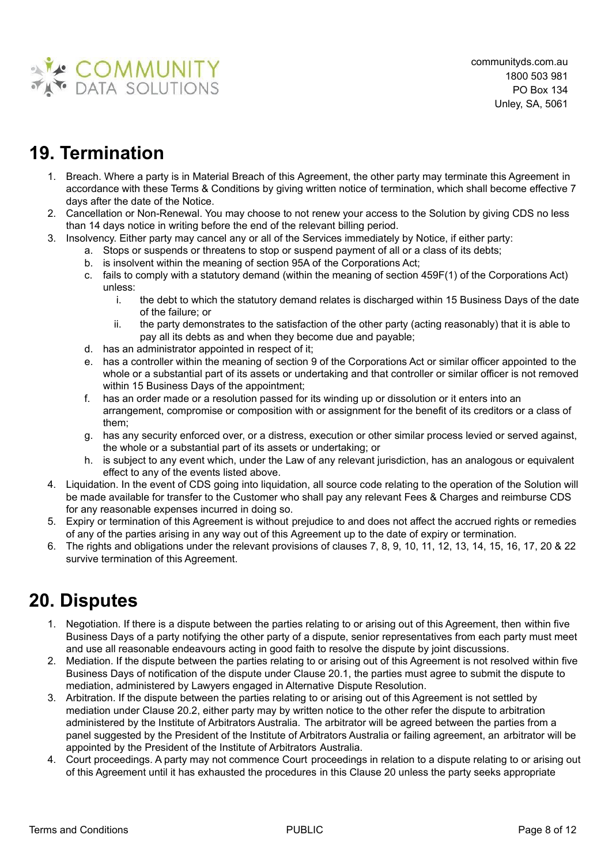

# **19. Termination**

- 1. Breach. Where a party is in Material Breach of this Agreement, the other party may terminate this Agreement in accordance with these Terms & Conditions by giving written notice of termination, which shall become effective 7 days after the date of the Notice.
- 2. Cancellation or Non-Renewal. You may choose to not renew your access to the Solution by giving CDS no less than 14 days notice in writing before the end of the relevant billing period.
- 3. Insolvency. Either party may cancel any or all of the Services immediately by Notice, if either party:
	- a. Stops or suspends or threatens to stop or suspend payment of all or a class of its debts;
	- b. is insolvent within the meaning of section 95A of the Corporations Act;
	- c. fails to comply with a statutory demand (within the meaning of section 459F(1) of the Corporations Act) unless:
		- i. the debt to which the statutory demand relates is discharged within 15 Business Days of the date of the failure; or
		- ii. the party demonstrates to the satisfaction of the other party (acting reasonably) that it is able to pay all its debts as and when they become due and payable;
	- d. has an administrator appointed in respect of it;
	- e. has a controller within the meaning of section 9 of the Corporations Act or similar officer appointed to the whole or a substantial part of its assets or undertaking and that controller or similar officer is not removed within 15 Business Days of the appointment;
	- f. has an order made or a resolution passed for its winding up or dissolution or it enters into an arrangement, compromise or composition with or assignment for the benefit of its creditors or a class of them;
	- g. has any security enforced over, or a distress, execution or other similar process levied or served against, the whole or a substantial part of its assets or undertaking; or
	- h. is subject to any event which, under the Law of any relevant jurisdiction, has an analogous or equivalent effect to any of the events listed above.
- 4. Liquidation. In the event of CDS going into liquidation, all source code relating to the operation of the Solution will be made available for transfer to the Customer who shall pay any relevant Fees & Charges and reimburse CDS for any reasonable expenses incurred in doing so.
- 5. Expiry or termination of this Agreement is without prejudice to and does not affect the accrued rights or remedies of any of the parties arising in any way out of this Agreement up to the date of expiry or termination.
- 6. The rights and obligations under the relevant provisions of clauses 7, 8, 9, 10, 11, 12, 13, 14, 15, 16, 17, 20 & 22 survive termination of this Agreement.

# **20. Disputes**

- 1. Negotiation. If there is a dispute between the parties relating to or arising out of this Agreement, then within five Business Days of a party notifying the other party of a dispute, senior representatives from each party must meet and use all reasonable endeavours acting in good faith to resolve the dispute by joint discussions.
- 2. Mediation. If the dispute between the parties relating to or arising out of this Agreement is not resolved within five Business Days of notification of the dispute under Clause 20.1, the parties must agree to submit the dispute to mediation, administered by Lawyers engaged in Alternative Dispute Resolution.
- 3. Arbitration. If the dispute between the parties relating to or arising out of this Agreement is not settled by mediation under Clause 20.2, either party may by written notice to the other refer the dispute to arbitration administered by the Institute of Arbitrators Australia. The arbitrator will be agreed between the parties from a panel suggested by the President of the Institute of Arbitrators Australia or failing agreement, an arbitrator will be appointed by the President of the Institute of Arbitrators Australia.
- 4. Court proceedings. A party may not commence Court proceedings in relation to a dispute relating to or arising out of this Agreement until it has exhausted the procedures in this Clause 20 unless the party seeks appropriate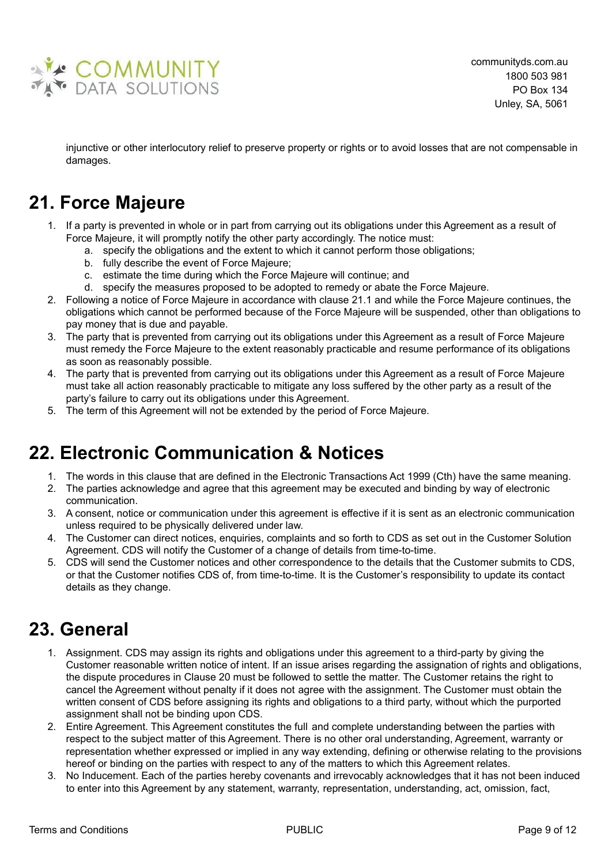

injunctive or other interlocutory relief to preserve property or rights or to avoid losses that are not compensable in damages.

### **21. Force Majeure**

- 1. If a party is prevented in whole or in part from carrying out its obligations under this Agreement as a result of Force Majeure, it will promptly notify the other party accordingly. The notice must:
	- a. specify the obligations and the extent to which it cannot perform those obligations;
	- b. fully describe the event of Force Majeure;
	- c. estimate the time during which the Force Majeure will continue; and
	- d. specify the measures proposed to be adopted to remedy or abate the Force Majeure.
- 2. Following a notice of Force Majeure in accordance with clause 21.1 and while the Force Majeure continues, the obligations which cannot be performed because of the Force Majeure will be suspended, other than obligations to pay money that is due and payable.
- 3. The party that is prevented from carrying out its obligations under this Agreement as a result of Force Majeure must remedy the Force Majeure to the extent reasonably practicable and resume performance of its obligations as soon as reasonably possible.
- 4. The party that is prevented from carrying out its obligations under this Agreement as a result of Force Majeure must take all action reasonably practicable to mitigate any loss suffered by the other party as a result of the party's failure to carry out its obligations under this Agreement.
- 5. The term of this Agreement will not be extended by the period of Force Majeure.

# **22. Electronic Communication & Notices**

- 1. The words in this clause that are defined in the Electronic Transactions Act 1999 (Cth) have the same meaning.
- 2. The parties acknowledge and agree that this agreement may be executed and binding by way of electronic communication.
- 3. A consent, notice or communication under this agreement is effective if it is sent as an electronic communication unless required to be physically delivered under law.
- 4. The Customer can direct notices, enquiries, complaints and so forth to CDS as set out in the Customer Solution Agreement. CDS will notify the Customer of a change of details from time-to-time.
- 5. CDS will send the Customer notices and other correspondence to the details that the Customer submits to CDS, or that the Customer notifies CDS of, from time-to-time. It is the Customer's responsibility to update its contact details as they change.

#### **23. General**

- 1. Assignment. CDS may assign its rights and obligations under this agreement to a third-party by giving the Customer reasonable written notice of intent. If an issue arises regarding the assignation of rights and obligations, the dispute procedures in Clause 20 must be followed to settle the matter. The Customer retains the right to cancel the Agreement without penalty if it does not agree with the assignment. The Customer must obtain the written consent of CDS before assigning its rights and obligations to a third party, without which the purported assignment shall not be binding upon CDS.
- 2. Entire Agreement. This Agreement constitutes the full and complete understanding between the parties with respect to the subject matter of this Agreement. There is no other oral understanding, Agreement, warranty or representation whether expressed or implied in any way extending, defining or otherwise relating to the provisions hereof or binding on the parties with respect to any of the matters to which this Agreement relates.
- 3. No Inducement. Each of the parties hereby covenants and irrevocably acknowledges that it has not been induced to enter into this Agreement by any statement, warranty, representation, understanding, act, omission, fact,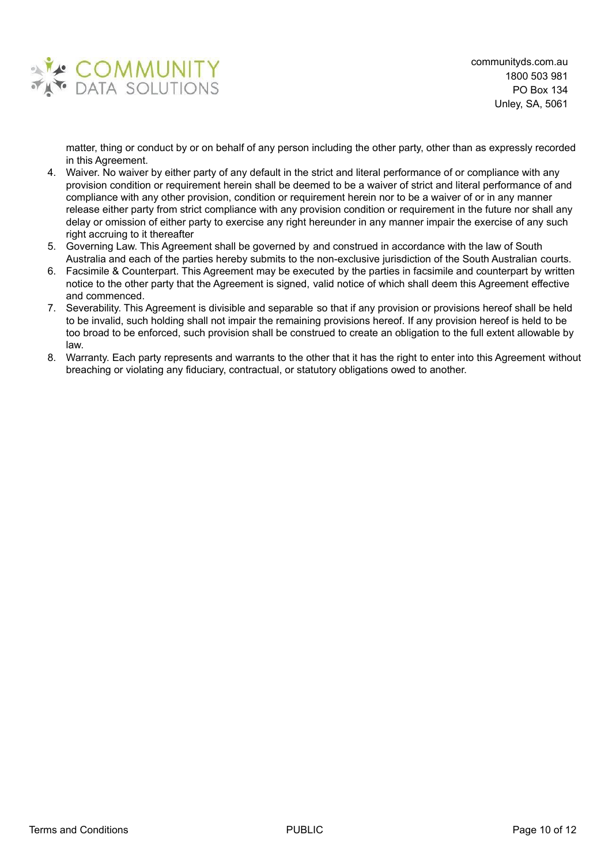

matter, thing or conduct by or on behalf of any person including the other party, other than as expressly recorded in this Agreement.

- 4. Waiver. No waiver by either party of any default in the strict and literal performance of or compliance with any provision condition or requirement herein shall be deemed to be a waiver of strict and literal performance of and compliance with any other provision, condition or requirement herein nor to be a waiver of or in any manner release either party from strict compliance with any provision condition or requirement in the future nor shall any delay or omission of either party to exercise any right hereunder in any manner impair the exercise of any such right accruing to it thereafter
- 5. Governing Law. This Agreement shall be governed by and construed in accordance with the law of South Australia and each of the parties hereby submits to the non-exclusive jurisdiction of the South Australian courts.
- 6. Facsimile & Counterpart. This Agreement may be executed by the parties in facsimile and counterpart by written notice to the other party that the Agreement is signed, valid notice of which shall deem this Agreement effective and commenced.
- 7. Severability. This Agreement is divisible and separable so that if any provision or provisions hereof shall be held to be invalid, such holding shall not impair the remaining provisions hereof. If any provision hereof is held to be too broad to be enforced, such provision shall be construed to create an obligation to the full extent allowable by law.
- 8. Warranty. Each party represents and warrants to the other that it has the right to enter into this Agreement without breaching or violating any fiduciary, contractual, or statutory obligations owed to another.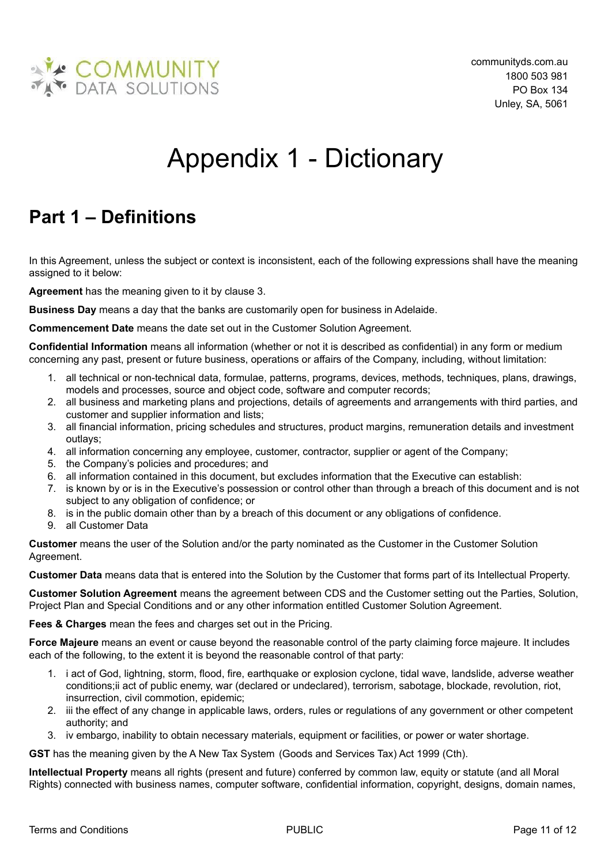

# Appendix 1 - Dictionary

# <span id="page-10-0"></span>**Part 1 – Definitions**

In this Agreement, unless the subject or context is inconsistent, each of the following expressions shall have the meaning assigned to it below:

**Agreement** has the meaning given to it by clause 3.

**Business Day** means a day that the banks are customarily open for business in Adelaide.

**Commencement Date** means the date set out in the Customer Solution Agreement.

**Confidential Information** means all information (whether or not it is described as confidential) in any form or medium concerning any past, present or future business, operations or affairs of the Company, including, without limitation:

- 1. all technical or non-technical data, formulae, patterns, programs, devices, methods, techniques, plans, drawings, models and processes, source and object code, software and computer records;
- 2. all business and marketing plans and projections, details of agreements and arrangements with third parties, and customer and supplier information and lists;
- 3. all financial information, pricing schedules and structures, product margins, remuneration details and investment outlays;
- 4. all information concerning any employee, customer, contractor, supplier or agent of the Company;
- 5. the Company's policies and procedures; and
- 6. all information contained in this document, but excludes information that the Executive can establish:
- 7. is known by or is in the Executive's possession or control other than through a breach of this document and is not subject to any obligation of confidence; or
- 8. is in the public domain other than by a breach of this document or any obligations of confidence.
- 9. all Customer Data

**Customer** means the user of the Solution and/or the party nominated as the Customer in the Customer Solution Agreement.

**Customer Data** means data that is entered into the Solution by the Customer that forms part of its Intellectual Property.

**Customer Solution Agreement** means the agreement between CDS and the Customer setting out the Parties, Solution, Project Plan and Special Conditions and or any other information entitled Customer Solution Agreement.

**Fees & Charges** mean the fees and charges set out in the Pricing.

**Force Majeure** means an event or cause beyond the reasonable control of the party claiming force majeure. It includes each of the following, to the extent it is beyond the reasonable control of that party:

- 1. i act of God, lightning, storm, flood, fire, earthquake or explosion cyclone, tidal wave, landslide, adverse weather conditions;ii act of public enemy, war (declared or undeclared), terrorism, sabotage, blockade, revolution, riot, insurrection, civil commotion, epidemic;
- 2. iii the effect of any change in applicable laws, orders, rules or regulations of any government or other competent authority; and
- 3. iv embargo, inability to obtain necessary materials, equipment or facilities, or power or water shortage.

**GST** has the meaning given by the A New Tax System (Goods and Services Tax) Act 1999 (Cth).

**Intellectual Property** means all rights (present and future) conferred by common law, equity or statute (and all Moral Rights) connected with business names, computer software, confidential information, copyright, designs, domain names,